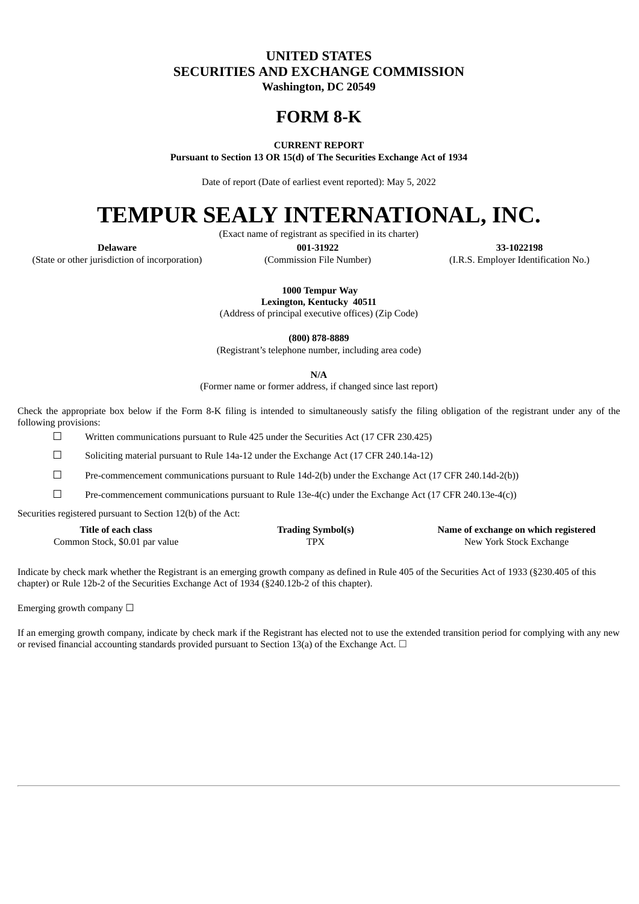# **UNITED STATES SECURITIES AND EXCHANGE COMMISSION**

**Washington, DC 20549**

# **FORM 8-K**

# **CURRENT REPORT**

**Pursuant to Section 13 OR 15(d) of The Securities Exchange Act of 1934**

Date of report (Date of earliest event reported): May 5, 2022

# **TEMPUR SEALY INTERNATIONAL, INC.**

(Exact name of registrant as specified in its charter)

**Delaware 001-31922 33-1022198** (State or other jurisdiction of incorporation) (Commission File Number) (I.R.S. Employer Identification No.)

**1000 Tempur Way**

**Lexington, Kentucky 40511**

(Address of principal executive offices) (Zip Code)

**(800) 878-8889**

(Registrant's telephone number, including area code)

**N/A**

(Former name or former address, if changed since last report)

Check the appropriate box below if the Form 8-K filing is intended to simultaneously satisfy the filing obligation of the registrant under any of the following provisions:

 $\Box$  Written communications pursuant to Rule 425 under the Securities Act (17 CFR 230.425)

☐ Soliciting material pursuant to Rule 14a-12 under the Exchange Act (17 CFR 240.14a-12)

☐ Pre-commencement communications pursuant to Rule 14d-2(b) under the Exchange Act (17 CFR 240.14d-2(b))

 $\square$  Pre-commencement communications pursuant to Rule 13e-4(c) under the Exchange Act (17 CFR 240.13e-4(c))

Securities registered pursuant to Section 12(b) of the Act:

| Title of each class            | <b>Trading Symbol(s)</b> | Name of exchange on which registered |
|--------------------------------|--------------------------|--------------------------------------|
| Common Stock, \$0.01 par value | TPX                      | New York Stock Exchange              |

Indicate by check mark whether the Registrant is an emerging growth company as defined in Rule 405 of the Securities Act of 1933 (§230.405 of this chapter) or Rule 12b-2 of the Securities Exchange Act of 1934 (§240.12b-2 of this chapter).

Emerging growth company  $\Box$ 

If an emerging growth company, indicate by check mark if the Registrant has elected not to use the extended transition period for complying with any new or revised financial accounting standards provided pursuant to Section 13(a) of the Exchange Act.  $\Box$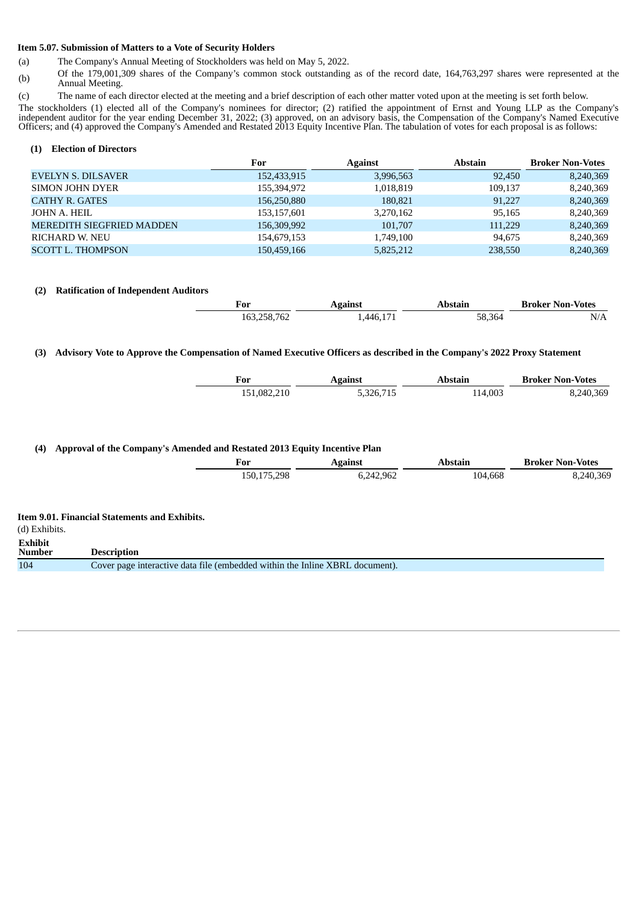#### **Item 5.07. Submission of Matters to a Vote of Security Holders**

- (a) The Company's Annual Meeting of Stockholders was held on May 5, 2022.
- (b) Of the 179,001,309 shares of the Company's common stock outstanding as of the record date, 164,763,297 shares were represented at the Annual Meeting.
- (c) The name of each director elected at the meeting and a brief description of each other matter voted upon at the meeting is set forth below.

The stockholders (1) elected all of the Company's nominees for director; (2) ratified the appointment of Ernst and Young LLP as the Company's independent auditor for the year ending December 31, 2022; (3) approved, on an advisory basis, the Compensation of the Company's Named Executive Officers; and (4) approved the Company's Amended and Restated 2013 Equity Incentive Plan. The tabulation of votes for each proposal is as follows:

#### **(1) Election of Directors**

|                                  | For         | <b>Against</b> | <b>Abstain</b> | <b>Broker Non-Votes</b> |
|----------------------------------|-------------|----------------|----------------|-------------------------|
| <b>EVELYN S. DILSAVER</b>        | 152,433,915 | 3,996,563      | 92,450         | 8,240,369               |
| SIMON JOHN DYER                  | 155,394,972 | 1,018,819      | 109,137        | 8,240,369               |
| <b>CATHY R. GATES</b>            | 156,250,880 | 180,821        | 91.227         | 8,240,369               |
| JOHN A. HEIL                     | 153,157,601 | 3,270,162      | 95,165         | 8,240,369               |
| <b>MEREDITH SIEGFRIED MADDEN</b> | 156,309,992 | 101,707        | 111,229        | 8,240,369               |
| <b>RICHARD W. NEU</b>            | 154,679,153 | 1,749,100      | 94,675         | 8,240,369               |
| <b>SCOTT L. THOMPSON</b>         | 150,459,166 | 5,825,212      | 238,550        | 8,240,369               |

## **(2) Ratification of Independent Auditors**

| For         | Against | Abstain | <b>Broker Non-Votes</b> |
|-------------|---------|---------|-------------------------|
| 163,258,762 | 446 171 | 58,364  | N/A                     |

#### (3) Advisory Vote to Approve the Compensation of Named Executive Officers as described in the Company's 2022 Proxy Statement

| <b>Against</b><br>For |           | Abstain | <b>Broker Non-Votes</b> |  |
|-----------------------|-----------|---------|-------------------------|--|
| 151,082,210           | 5,326,715 | 114.003 | 8,240,369               |  |

## **(4) Approval of the Company's Amended and Restated 2013 Equity Incentive Plan**

|                                 |                                                                              | For         | <b>Against</b> | <b>Abstain</b> | <b>Broker Non-Votes</b> |
|---------------------------------|------------------------------------------------------------------------------|-------------|----------------|----------------|-------------------------|
|                                 |                                                                              | 150,175,298 | 6,242,962      | 104,668        | 8,240,369               |
| (d) Exhibits.                   | <b>Item 9.01. Financial Statements and Exhibits.</b>                         |             |                |                |                         |
| <b>Exhibit</b><br><b>Number</b> | <b>Description</b>                                                           |             |                |                |                         |
| 104                             | Cover page interactive data file (embedded within the Inline XBRL document). |             |                |                |                         |
|                                 |                                                                              |             |                |                |                         |